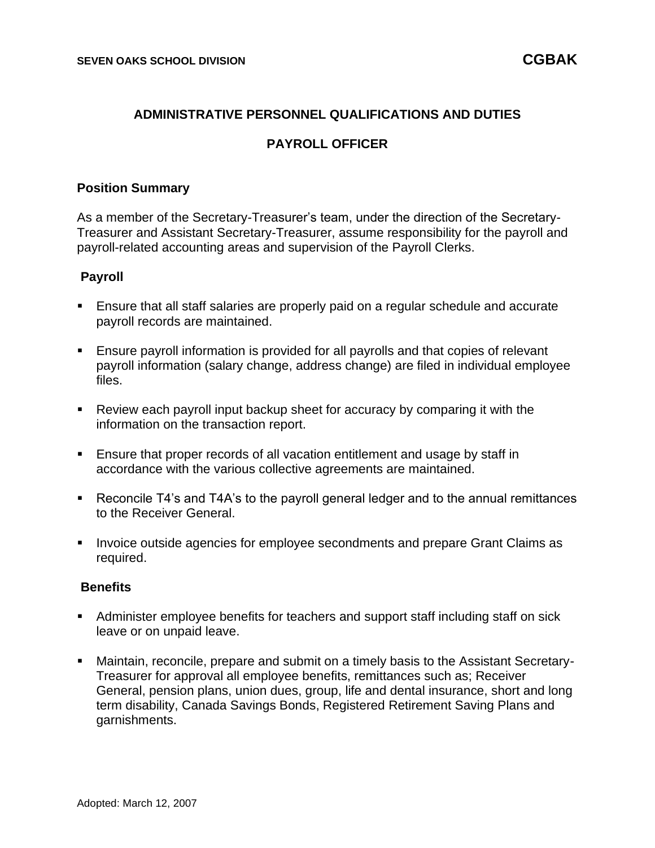#### **ADMINISTRATIVE PERSONNEL QUALIFICATIONS AND DUTIES**

## **PAYROLL OFFICER**

#### **Position Summary**

As a member of the Secretary-Treasurer's team, under the direction of the Secretary-Treasurer and Assistant Secretary-Treasurer, assume responsibility for the payroll and payroll-related accounting areas and supervision of the Payroll Clerks.

#### **Payroll**

- Ensure that all staff salaries are properly paid on a regular schedule and accurate payroll records are maintained.
- Ensure payroll information is provided for all payrolls and that copies of relevant payroll information (salary change, address change) are filed in individual employee files.
- Review each payroll input backup sheet for accuracy by comparing it with the information on the transaction report.
- Ensure that proper records of all vacation entitlement and usage by staff in accordance with the various collective agreements are maintained.
- Reconcile T4's and T4A's to the payroll general ledger and to the annual remittances to the Receiver General.
- Invoice outside agencies for employee secondments and prepare Grant Claims as required.

#### **Benefits**

- Administer employee benefits for teachers and support staff including staff on sick leave or on unpaid leave.
- Maintain, reconcile, prepare and submit on a timely basis to the Assistant Secretary-Treasurer for approval all employee benefits, remittances such as; Receiver General, pension plans, union dues, group, life and dental insurance, short and long term disability, Canada Savings Bonds, Registered Retirement Saving Plans and garnishments.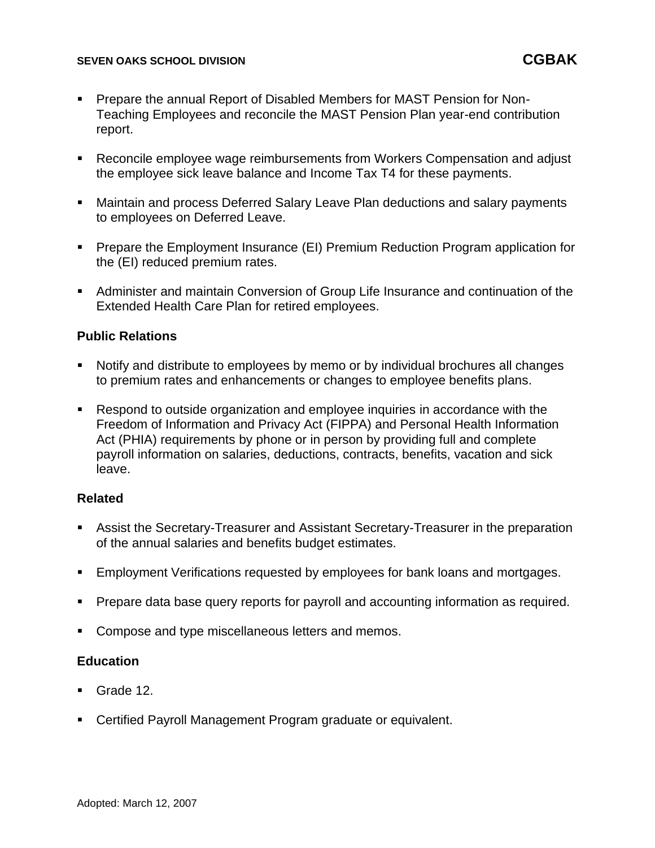#### **SEVEN OAKS SCHOOL DIVISION CGBAK**

- Prepare the annual Report of Disabled Members for MAST Pension for Non-Teaching Employees and reconcile the MAST Pension Plan year-end contribution report.
- Reconcile employee wage reimbursements from Workers Compensation and adjust the employee sick leave balance and Income Tax T4 for these payments.
- Maintain and process Deferred Salary Leave Plan deductions and salary payments to employees on Deferred Leave.
- Prepare the Employment Insurance (EI) Premium Reduction Program application for the (EI) reduced premium rates.
- Administer and maintain Conversion of Group Life Insurance and continuation of the Extended Health Care Plan for retired employees.

## **Public Relations**

- Notify and distribute to employees by memo or by individual brochures all changes to premium rates and enhancements or changes to employee benefits plans.
- Respond to outside organization and employee inquiries in accordance with the Freedom of Information and Privacy Act (FIPPA) and Personal Health Information Act (PHIA) requirements by phone or in person by providing full and complete payroll information on salaries, deductions, contracts, benefits, vacation and sick leave.

# **Related**

- Assist the Secretary-Treasurer and Assistant Secretary-Treasurer in the preparation of the annual salaries and benefits budget estimates.
- Employment Verifications requested by employees for bank loans and mortgages.
- Prepare data base query reports for payroll and accounting information as required.
- Compose and type miscellaneous letters and memos.

## **Education**

- Grade 12.
- Certified Payroll Management Program graduate or equivalent.